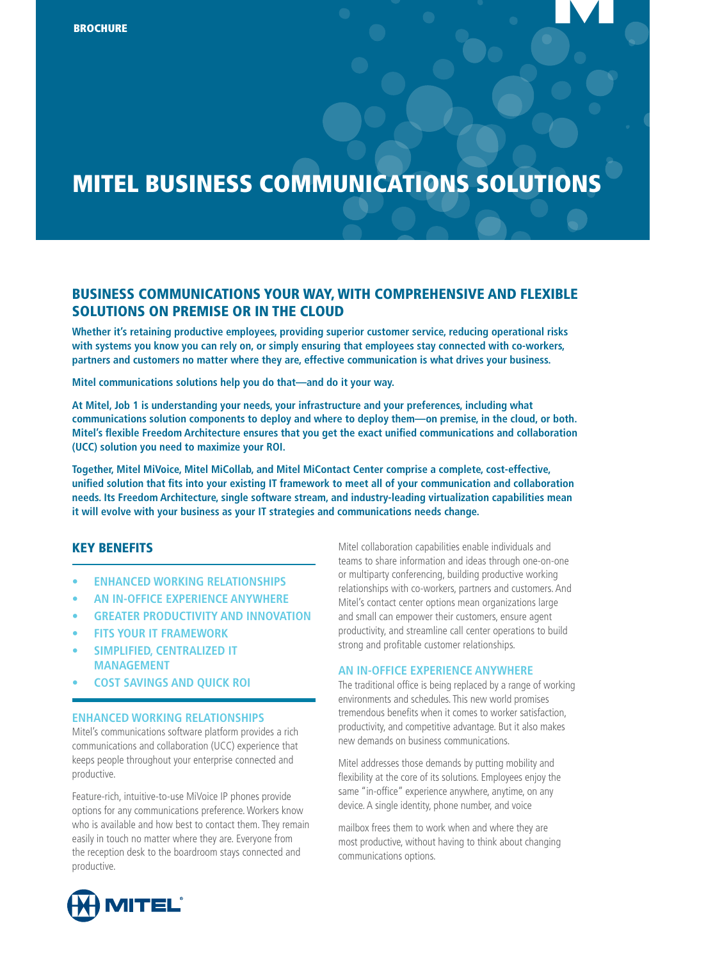# MITEL BUSINESS COMMUNICATIONS SOLUTIONS

# BUSINESS COMMUNICATIONS YOUR WAY, WITH COMPREHENSIVE AND FLEXIBLE SOLUTIONS ON PREMISE OR IN THE CLOUD

**Whether it's retaining productive employees, providing superior customer service, reducing operational risks with systems you know you can rely on, or simply ensuring that employees stay connected with co-workers, partners and customers no matter where they are, effective communication is what drives your business.**

**Mitel communications solutions help you do that—and do it your way.** 

**At Mitel, Job 1 is understanding your needs, your infrastructure and your preferences, including what communications solution components to deploy and where to deploy them—on premise, in the cloud, or both. Mitel's flexible Freedom Architecture ensures that you get the exact unified communications and collaboration (UCC) solution you need to maximize your ROI.**

**Together, Mitel MiVoice, Mitel MiCollab, and Mitel MiContact Center comprise a complete, cost-effective, unified solution that fits into your existing IT framework to meet all of your communication and collaboration needs. Its Freedom Architecture, single software stream, and industry-leading virtualization capabilities mean it will evolve with your business as your IT strategies and communications needs change.**

#### KEY BENEFITS

- **• ENHANCED WORKING RELATIONSHIPS**
- **• AN IN-OFFICE EXPERIENCE ANYWHERE**
- **• GREATER PRODUCTIVITY AND INNOVATION**
- **• FITS YOUR IT FRAMEWORK**
- **• SIMPLIFIED, CENTRALIZED IT MANAGEMENT**
- **• COST SAVINGS AND QUICK ROI**

#### **ENHANCED WORKING RELATIONSHIPS**

Mitel's communications software platform provides a rich communications and collaboration (UCC) experience that keeps people throughout your enterprise connected and productive.

Feature-rich, intuitive-to-use MiVoice IP phones provide options for any communications preference. Workers know who is available and how best to contact them. They remain easily in touch no matter where they are. Everyone from the reception desk to the boardroom stays connected and productive.

Mitel collaboration capabilities enable individuals and teams to share information and ideas through one-on-one or multiparty conferencing, building productive working relationships with co-workers, partners and customers. And Mitel's contact center options mean organizations large and small can empower their customers, ensure agent productivity, and streamline call center operations to build strong and profitable customer relationships.

#### **AN IN-OFFICE EXPERIENCE ANYWHERE**

The traditional office is being replaced by a range of working environments and schedules. This new world promises tremendous benefits when it comes to worker satisfaction, productivity, and competitive advantage. But it also makes new demands on business communications.

Mitel addresses those demands by putting mobility and flexibility at the core of its solutions. Employees enjoy the same "in-office" experience anywhere, anytime, on any device. A single identity, phone number, and voice

mailbox frees them to work when and where they are most productive, without having to think about changing communications options.

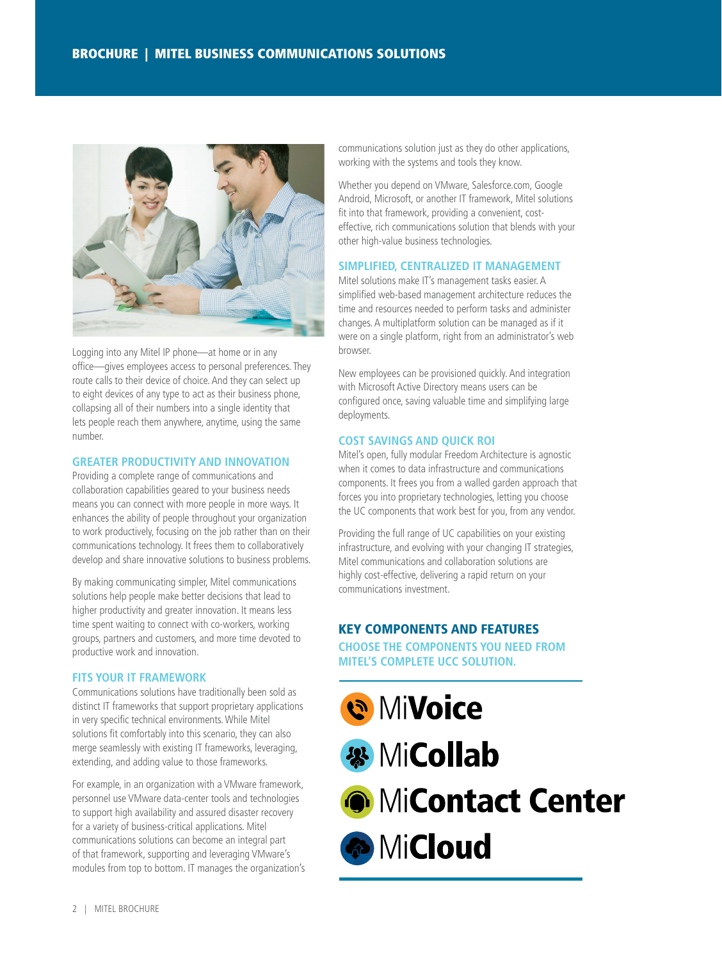

Logging into any Mitel IP phone—at home or in any office—gives employees access to personal preferences. They route calls to their device of choice. And they can select up to eight devices of any type to act as their business phone, collapsing all of their numbers into a single identity that lets people reach them anywhere, anytime, using the same number.

#### **GREATER PRODUCTIVITY AND INNOVATION**

Providing a complete range of communications and collaboration capabilities geared to your business needs means you can connect with more people in more ways. It enhances the ability of people throughout your organization to work productively, focusing on the job rather than on their communications technology. It frees them to collaboratively develop and share innovative solutions to business problems.

By making communicating simpler, Mitel communications solutions help people make better decisions that lead to higher productivity and greater innovation. It means less time spent waiting to connect with co-workers, working groups, partners and customers, and more time devoted to productive work and innovation.

#### **FITS YOUR IT FRAMEWORK**

Communications solutions have traditionally been sold as distinct IT frameworks that support proprietary applications in very specific technical environments. While Mitel solutions fit comfortably into this scenario, they can also merge seamlessly with existing IT frameworks, leveraging, extending, and adding value to those frameworks.

For example, in an organization with a VMware framework, personnel use VMware data-center tools and technologies to support high availability and assured disaster recovery for a variety of business-critical applications. Mitel communications solutions can become an integral part of that framework, supporting and leveraging VMware's modules from top to bottom. IT manages the organization's communications solution just as they do other applications, working with the systems and tools they know.

Whether you depend on VMware, Salesforce.com, Google Android, Microsoft, or another IT framework, Mitel solutions fit into that framework, providing a convenient, costeffective, rich communications solution that blends with your other high-value business technologies.

#### **SIMPLIFIED, CENTRALIZED IT MANAGEMENT**

Mitel solutions make IT's management tasks easier. A simplified web-based management architecture reduces the time and resources needed to perform tasks and administer changes. A multiplatform solution can be managed as if it were on a single platform, right from an administrator's web browser.

New employees can be provisioned quickly. And integration with Microsoft Active Directory means users can be configured once, saving valuable time and simplifying large deployments.

#### **COST SAVINGS AND QUICK ROI**

Mitel's open, fully modular Freedom Architecture is agnostic when it comes to data infrastructure and communications components. It frees you from a walled garden approach that forces you into proprietary technologies, letting you choose the UC components that work best for you, from any vendor.

Providing the full range of UC capabilities on your existing infrastructure, and evolving with your changing IT strategies, Mitel communications and collaboration solutions are highly cost-effective, delivering a rapid return on your communications investment.

## KEY COMPONENTS AND FEATURES

**CHOOSE THE COMPONENTS YOU NEED FROM MITEL'S COMPLETE UCC SOLUTION.**

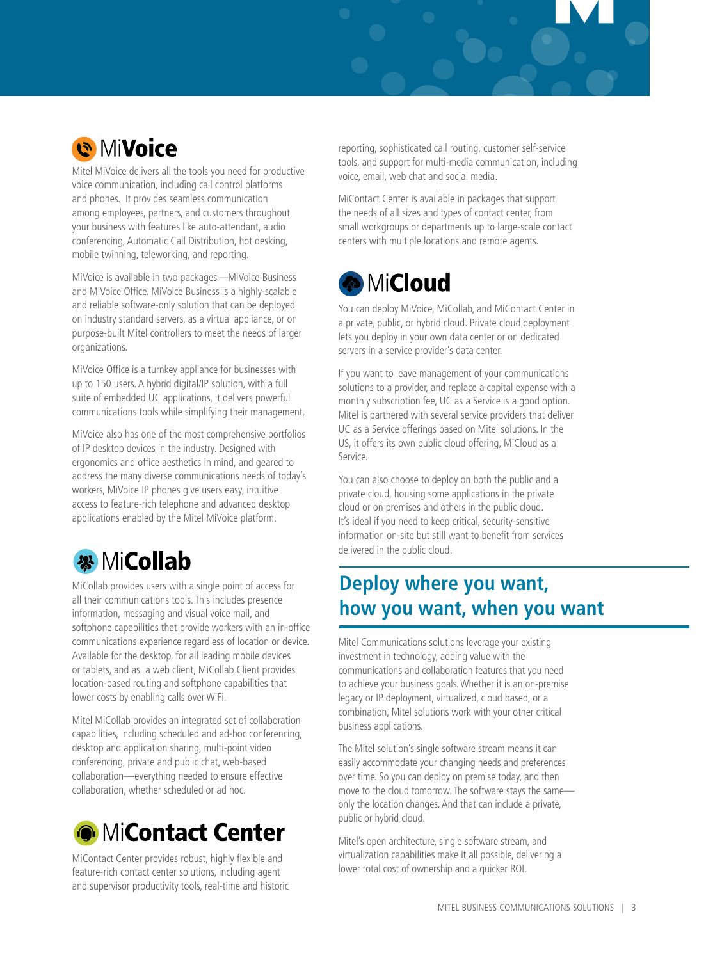

Mitel MiVoice delivers all the tools you need for productive voice communication, including call control platforms and phones. It provides seamless communication among employees, partners, and customers throughout your business with features like auto-attendant, audio conferencing, Automatic Call Distribution, hot desking, mobile twinning, teleworking, and reporting.

MiVoice is available in two packages—MiVoice Business and MiVoice Office. MiVoice Business is a highly-scalable and reliable software-only solution that can be deployed on industry standard servers, as a virtual appliance, or on purpose-built Mitel controllers to meet the needs of larger organizations.

MiVoice Office is a turnkey appliance for businesses with up to 150 users. A hybrid digital/IP solution, with a full suite of embedded UC applications, it delivers powerful communications tools while simplifying their management.

MiVoice also has one of the most comprehensive portfolios of IP desktop devices in the industry. Designed with ergonomics and office aesthetics in mind, and geared to address the many diverse communications needs of today's workers, MiVoice IP phones give users easy, intuitive access to feature-rich telephone and advanced desktop applications enabled by the Mitel MiVoice platform.



MiCollab provides users with a single point of access for all their communications tools. This includes presence information, messaging and visual voice mail, and softphone capabilities that provide workers with an in-office communications experience regardless of location or device. Available for the desktop, for all leading mobile devices or tablets, and as a web client, MiCollab Client provides location-based routing and softphone capabilities that lower costs by enabling calls over WiFi.

Mitel MiCollab provides an integrated set of collaboration capabilities, including scheduled and ad-hoc conferencing, desktop and application sharing, multi-point video conferencing, private and public chat, web-based collaboration—everything needed to ensure effective collaboration, whether scheduled or ad hoc.



MiContact Center provides robust, highly flexible and feature-rich contact center solutions, including agent and supervisor productivity tools, real-time and historic reporting, sophisticated call routing, customer self-service tools, and support for multi-media communication, including voice, email, web chat and social media.

MiContact Center is available in packages that support the needs of all sizes and types of contact center, from small workgroups or departments up to large-scale contact centers with multiple locations and remote agents.

# **MiCloud**

You can deploy MiVoice, MiCollab, and MiContact Center in a private, public, or hybrid cloud. Private cloud deployment lets you deploy in your own data center or on dedicated servers in a service provider's data center.

If you want to leave management of your communications solutions to a provider, and replace a capital expense with a monthly subscription fee, UC as a Service is a good option. Mitel is partnered with several service providers that deliver UC as a Service offerings based on Mitel solutions. In the US, it offers its own public cloud offering, MiCloud as a Service.

You can also choose to deploy on both the public and a private cloud, housing some applications in the private cloud or on premises and others in the public cloud. It's ideal if you need to keep critical, security-sensitive information on-site but still want to benefit from services delivered in the public cloud.

# **Deploy where you want, how you want, when you want**

Mitel Communications solutions leverage your existing investment in technology, adding value with the communications and collaboration features that you need to achieve your business goals. Whether it is an on-premise legacy or IP deployment, virtualized, cloud based, or a combination, Mitel solutions work with your other critical business applications.

The Mitel solution's single software stream means it can easily accommodate your changing needs and preferences over time. So you can deploy on premise today, and then move to the cloud tomorrow. The software stays the same only the location changes. And that can include a private, public or hybrid cloud.

Mitel's open architecture, single software stream, and virtualization capabilities make it all possible, delivering a lower total cost of ownership and a quicker ROI.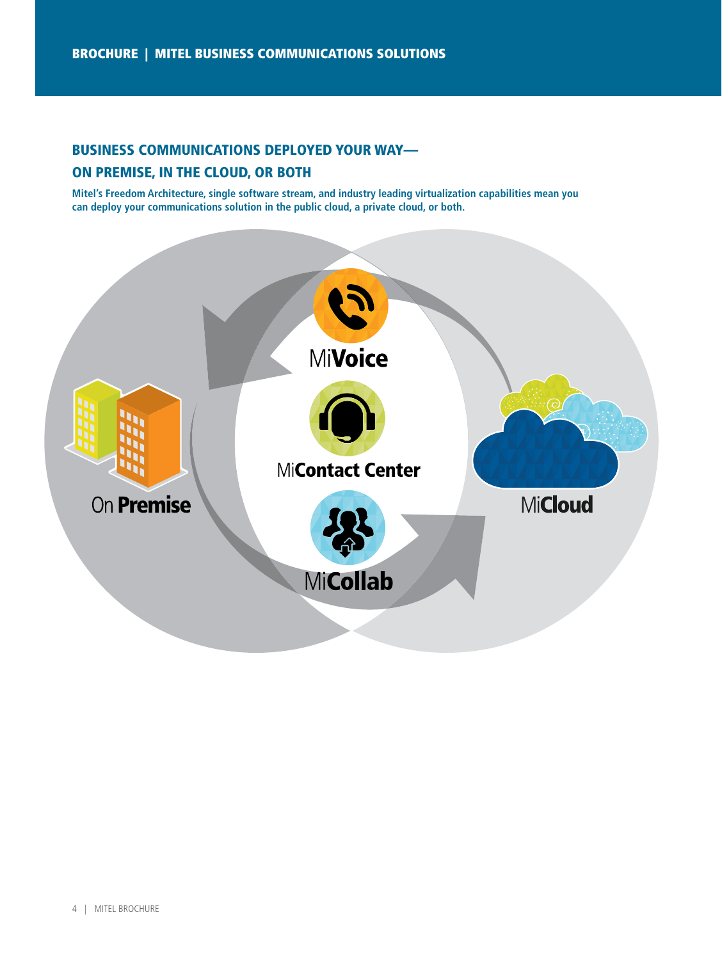## BUSINESS COMMUNICATIONS DEPLOYED YOUR WAY—

### ON PREMISE, IN THE CLOUD, OR BOTH

**Mitel's Freedom Architecture, single software stream, and industry leading virtualization capabilities mean you can deploy your communications solution in the public cloud, a private cloud, or both.**